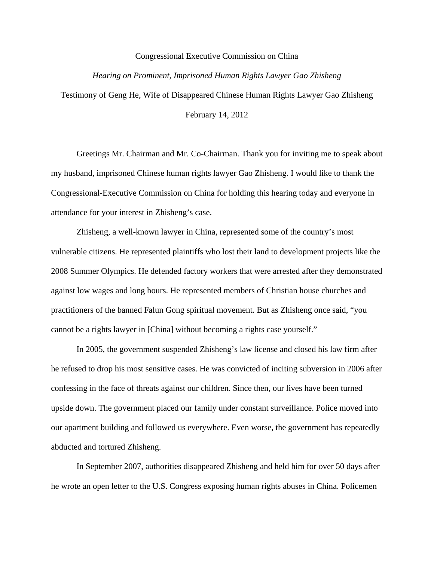## Congressional Executive Commission on China

## *Hearing on Prominent, Imprisoned Human Rights Lawyer Gao Zhisheng*

Testimony of Geng He, Wife of Disappeared Chinese Human Rights Lawyer Gao Zhisheng

February 14, 2012

Greetings Mr. Chairman and Mr. Co-Chairman. Thank you for inviting me to speak about my husband, imprisoned Chinese human rights lawyer Gao Zhisheng. I would like to thank the Congressional-Executive Commission on China for holding this hearing today and everyone in attendance for your interest in Zhisheng's case.

Zhisheng, a well-known lawyer in China, represented some of the country's most vulnerable citizens. He represented plaintiffs who lost their land to development projects like the 2008 Summer Olympics. He defended factory workers that were arrested after they demonstrated against low wages and long hours. He represented members of Christian house churches and practitioners of the banned Falun Gong spiritual movement. But as Zhisheng once said, "you cannot be a rights lawyer in [China] without becoming a rights case yourself."

In 2005, the government suspended Zhisheng's law license and closed his law firm after he refused to drop his most sensitive cases. He was convicted of inciting subversion in 2006 after confessing in the face of threats against our children. Since then, our lives have been turned upside down. The government placed our family under constant surveillance. Police moved into our apartment building and followed us everywhere. Even worse, the government has repeatedly abducted and tortured Zhisheng.

In September 2007, authorities disappeared Zhisheng and held him for over 50 days after he wrote an open letter to the U.S. Congress exposing human rights abuses in China. Policemen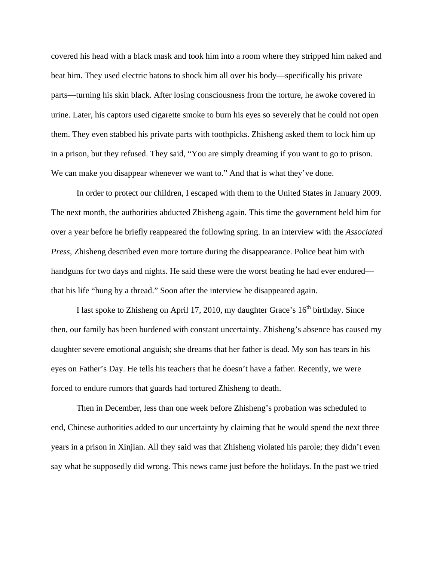covered his head with a black mask and took him into a room where they stripped him naked and beat him. They used electric batons to shock him all over his body—specifically his private parts—turning his skin black. After losing consciousness from the torture, he awoke covered in urine. Later, his captors used cigarette smoke to burn his eyes so severely that he could not open them. They even stabbed his private parts with toothpicks. Zhisheng asked them to lock him up in a prison, but they refused. They said, "You are simply dreaming if you want to go to prison. We can make you disappear whenever we want to." And that is what they've done.

In order to protect our children, I escaped with them to the United States in January 2009. The next month, the authorities abducted Zhisheng again. This time the government held him for over a year before he briefly reappeared the following spring. In an interview with the *Associated Press*, Zhisheng described even more torture during the disappearance. Police beat him with handguns for two days and nights. He said these were the worst beating he had ever endured that his life "hung by a thread." Soon after the interview he disappeared again.

I last spoke to Zhisheng on April 17, 2010, my daughter Grace's 16<sup>th</sup> birthday. Since then, our family has been burdened with constant uncertainty. Zhisheng's absence has caused my daughter severe emotional anguish; she dreams that her father is dead. My son has tears in his eyes on Father's Day. He tells his teachers that he doesn't have a father. Recently, we were forced to endure rumors that guards had tortured Zhisheng to death.

Then in December, less than one week before Zhisheng's probation was scheduled to end, Chinese authorities added to our uncertainty by claiming that he would spend the next three years in a prison in Xinjian. All they said was that Zhisheng violated his parole; they didn't even say what he supposedly did wrong. This news came just before the holidays. In the past we tried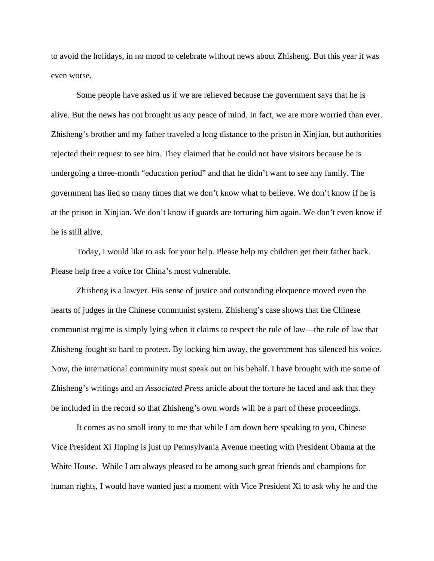to avoid the holidays, in no mood to celebrate without news about Zhisheng. But this year it was even worse.

Some people have asked us if we are relieved because the government says that he is alive. But the news has not brought us any peace of mind. In fact, we are more worried than ever. Zhisheng's brother and my father traveled a long distance to the prison in Xinjian, but authorities rejected their request to see him. They claimed that he could not have visitors because he is undergoing a three-month "education period" and that he didn't want to see any family. The government has lied so many times that we don't know what to believe. We don't know if he is at the prison in Xinjian. We don't know if guards are torturing him again. We don't even know if he is still alive.

Today, I would like to ask for your help. Please help my children get their father back. Please help free a voice for China's most vulnerable.

Zhisheng is a lawyer. His sense of justice and outstanding eloquence moved even the hearts of judges in the Chinese communist system. Zhisheng's case shows that the Chinese communist regime is simply lying when it claims to respect the rule of law—the rule of law that Zhisheng fought so hard to protect. By locking him away, the government has silenced his voice. Now, the international community must speak out on his behalf. I have brought with me some of Zhisheng's writings and an *Associated Press* article about the torture he faced and ask that they be included in the record so that Zhisheng's own words will be a part of these proceedings.

It comes as no small irony to me that while I am down here speaking to you, Chinese Vice President Xi Jinping is just up Pennsylvania Avenue meeting with President Obama at the White House. While I am always pleased to be among such great friends and champions for human rights, I would have wanted just a moment with Vice President Xi to ask why he and the